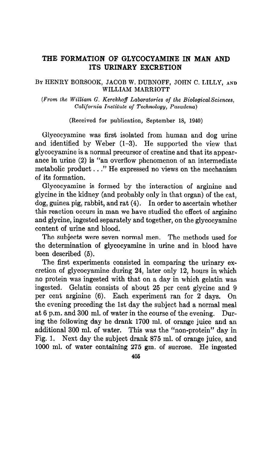## THE FORMATION OF GLYCOCYAMINE IN MAN AND ITS URINARY EXCRETION

### BY HENRY BORSOOK, JACOB W. DUBNOFF, JOHN C. LILLY, AND WILLIAM MARRIOTT

 $(From the William G. Kerckhoff Laboratories of the Biological Sciences,$ California Institute of Technology, Pasadena)

(Received for publication, September 18, 1940)

Glycocyamine was first isolated from human and dog urine and identified by Weber  $(1-3)$ . He supported the view that glycocyamine is a normal precursor of creatine and that its appearance in urine (2) is "an overflow phenomenon of an intermediate metabolic product . . ." He expressed no views on the mechanism of its formation.

Glycocyamine is formed by the interaction of arginine and glycine in the kidney (and probably only in that organ) of the cat, dog, guinea pig, rabbit, and rat (4). In order to ascertain whether this reaction occurs in man we have studied the effect of arginine and glycine, ingested separately and together, on the glycocyamine content of urine and blood.

The subjects were seven normal men. The methods used for the determination of glycocyamine in urine and in blood have been described (5).

The first experiments consisted in comparing the urinary excretion of glycocyamine during 24, later only 12, hours in which no protein was ingested with that on a day in which gelatin was ingested. Gelatin consists of about 25 per cent glycine and 9 per cent arginine (6). Each experiment ran for 2 days. On the evening preceding the 1st day the subject had a normal meal at 6 p.m. and 300 ml. of water in the course of the evening. During the following day he drank 1700 ml. of orange juice and an additional 300 ml. of water. This was the "non-protein" day in Fig. 1. Next day the subject drank 875 ml. of orange juice, and 1000 ml. of water containing 275 gm. of sucrose. He ingested

406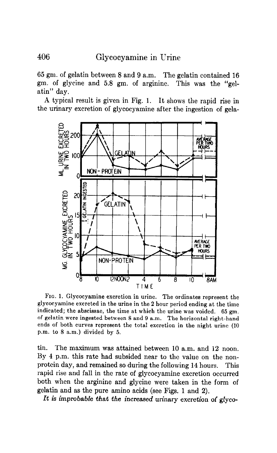65 gm. of gelatin between 8 and 9 a.m. The gelatin contained 16 gm. of glycine and 5.8 gm. of arginine. This was the "gelatin" day.

A typical result is given in Fig. 1. It shows the rapid rise in the urinary excretion of glycocyamine after the ingestion of gela-



FIG. 1. Glycocyamine excretion in urine. The ordinates represent the glycocyamine excreted in the urine in the 2 hour period ending at the time indicated; the abscissae, the time at which the urine was voided. 65 gm.  $\sigma$  gelatin were ingested between  $\theta$  and  $\theta$  a.m. The horizontal right-hand experience in the total excretion of the total excretion in the non-zontal right-nanus ends of both curves represent the total excretion in the night urine (10 p.m. to 8 a.m.) divided by 5.

tin. The maximum was attained between 10 a.m. and 12 noon. By 4 p.m. this rate had subsided near to the value on the nonprotein day, and remained so during the following 14 hours. This rapid rise and fall in the rate of glycocyamine excretion occurred both when the arginine and glycine were taken in the form of gelatin and as the pure amino acids (see Figs. 1 and 2).

1t is improbable that the increased urinary excretion of glyco-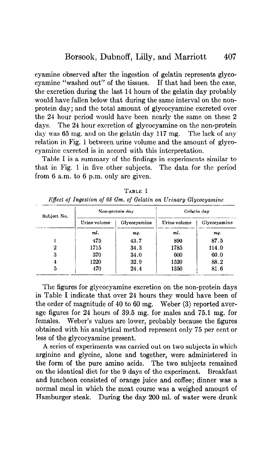cyamine observed after the ingestion of gelatin represents glycocyamine "washed out" of the tissues. If that had been the case, the excretion during the last 14 hours of the gelatin day probably would have fallen below that during the same interval on the nonprotein day; and the total amount of glycocyamine excreted over the 24 hour period would have been nearly the same on these 2 days. The 24 hour excretion of glycocyamine on the non-protein day was 65 mg. and on the gelatin day 117 mg. The lack of any relation in Fig. 1 between urine volume and the amount of glycocyamine excreted is in accord with this interpretation.

Table I is a summary of the findings in experiments similar to that in Fig. 1 in five other subjects. The data for the period from 6 a.m. to 6 p.m. only are given.

| Subject No. | Non-protein day |              | Gelatin day  |              |
|-------------|-----------------|--------------|--------------|--------------|
|             | Urine volume    | Glycocyamine | Urine volume | Glycocyamine |
|             | ml.             | mg.          | ml.          | mg.          |
|             | 475             | 43.7         | 890          | 87.5         |
| 2           | 1715            | 34.3         | 1785         | 114.0        |
| 3           | 370             | 34.0         | 600          | 60.0         |
| 4           | 1220            | 32.9         | 1520         | 88.2         |
| 5           | 470             | 24.4         | 1350         | 81.6         |

TABLE I Effect of Ingestion of 66 Gm. of Gelatin on Urinary Glycocyamine

The figures for glycocyamine excretion on the non-protein days in Table I indicate that over 24 hours they would have been of the order of magnitude of 40 to 60 mg. Weber (3) reported average figures for 24 hours of 39.5 mg. for males and 75.1 mg. for females. Weber's values are lower, probably because the figures obtained with his analytical method represent only 75 per cent or less of the glycocyamine present.

A series of experiments was carried out on two subjects in which arginine and glycine, alone and together, were administered in the form of the pure amino acids. The two subjects remained on the identical diet for the 9 days of the experiment. Breakfast and luncheon consisted of orange juice and coffee; dinner was a normal meal in which the meat course was a weighed amount of Hamburger steak. During the day 200 ml. of water were drunk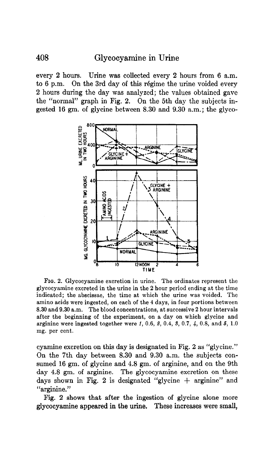# 408 Glycocyamine in Urine

every 2 hours. Urine was collected every 2 hours from 6 a.m. to 6 p.m. On the 3rd day of this regime the urine voided every 2 hours during the day was analyzed; the values obtained gave the "normal" graph in Fig. 2. On the 5th day the subjects ingested 16 gm. of glycine between 8.30 and 9.30 a.m.; the glyco-



FIG. 2. Glycocyamine excretion in urine. The ordinates represent the glycocyamine excreted in the urine in the 2 hour period ending at the time indicated; the abscissae, the time at which the urine was voided. The amino acids were ingested, on each of the 4 days, in four portions between 8.30 and 9.30 a.m. The blood concentrations, at successive 2 hour intervals after the beginning of the experiment, on a day on which glycine and arginine were ingested together were  $1, 0.6, 2, 0.4, 3, 0.7, 4, 0.8,$  and  $5, 1.0$ mg. per cent.

cyamine excretion on this day is designated in Fig. 2 as "glycine." On the 7th day between 8.30 and 9.30 a.m. the subjects consumed 16 gm. of glycine and 4.8 gm. of arginine, and on the 9th day 4.8 gm. of arginine. The glycocyamine excretion on these days shown in Fig. 2 is designated "glycine  $+$  arginine" and "arginine."

Fig. 2 shows that after the ingestion of glycine alone more glycocyamine appeared in the urine. These increases were small,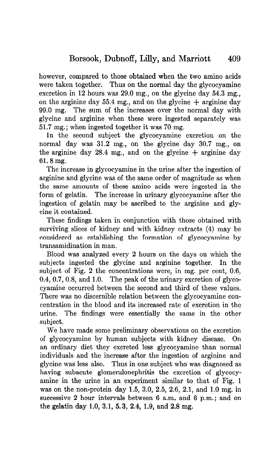however, compared to those obtained when the two amino acids were taken together. Thus on the normal day the glycocyamine excretion in 12 hours was 29.0 mg., on the glycine day 54.3 mg., on the arginine day 55.4 mg., and on the glycine  $+$  arginine day 99.0 mg. The sum of the increases over the normal day with glycine and arginine when these were ingested separately was 51.7 mg.; when ingested together it was 70 mg.

In the second subject the glycocyamine excretion on the normal day was 31.2 mg., on the glycine day 30.7 mg., on the arginine day 28.4 mg, and on the glycine  $+$  arginine day 61.8 mg.

The increase in glycocyamine in the urine after the ingestion of arginine and glycine was of the same order of magnitude as when the same amounts of these amino acids were ingested in the form of gelatin. The increase in urinary glycocyamine after the ingestion of gelatin may be ascribed to the arginine and glycine it contained.

These findings taken in conjunction with those obtained with surviving slices of kidney and with kidney extracts (4) may be considered as establishing the formation of glycocyamine by transamidination in man.

Blood was analyzed every 2 hours on the days on which the subjects ingested the glycine and arginine together. In the subject of Fig. 2 the concentrations were, in mg. per cent, 0.6, 0.4, 0.7, 0.8, and 1.0. The peak of the urinary excretion of glycocyamine occurred between the second and third of these values. There was no discernible relation between the glycocyamine concentration in the blood and its increased rate of excretion in the urine. The findings were essentially the same in the other subject.

We have made some preliminary observations on the excretion of glycocyamine by human subjects with kidney disease. On an ordinary diet they excreted less glycocyamine than normal individuals and the increase after the ingestion of arginine and glycine was less also. Thus in one subject who' was diagnosed as having subacute glomerulonephritis the excretion of glycocyamine in the urine in an experiment similar to that of Fig. 1 was on the non-protein day 1.5, 3.0, 2.5, 2.6, 2.1, and 1.0 mg. in successive 2 hour intervals between 6 a.m. and 6 p.m.; and on the gelatin day 1.0, 3.1, 5.3, 2.4, 1.9, and 2.8 mg.